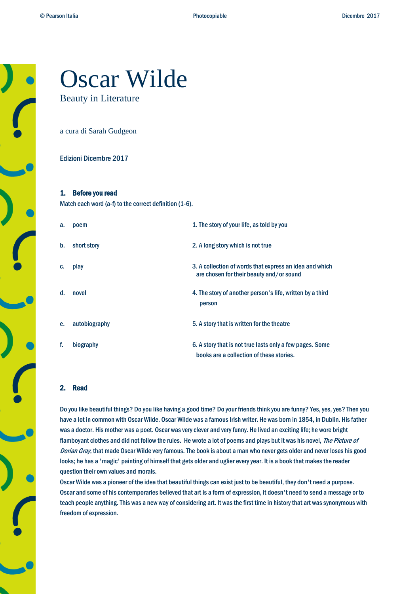# Oscar Wilde Beauty in Literature

a cura di Sarah Gudgeon

#### Edizioni Dicembre 2017

#### 1. Before you read

Match each word (a-f) to the correct definition (1-6).

| a. | poem          | 1. The story of your life, as told by you                                                            |
|----|---------------|------------------------------------------------------------------------------------------------------|
| b. | short story   | 2. A long story which is not true                                                                    |
| C. | play          | 3. A collection of words that express an idea and which<br>are chosen for their beauty and/or sound  |
| d. | novel         | 4. The story of another person's life, written by a third<br>person                                  |
| е. | autobiography | 5. A story that is written for the theatre                                                           |
| f. | biography     | 6. A story that is not true lasts only a few pages. Some<br>books are a collection of these stories. |

#### 2. Read

Do you like beautiful things? Do you like having a good time? Do your friends think you are funny? Yes, yes, yes? Then you have a lot in common with Oscar Wilde. Oscar Wilde was a famous Irish writer. He was born in 1854, in Dublin. His father was a doctor. His mother was a poet. Oscar was very clever and very funny. He lived an exciting life; he wore bright flamboyant clothes and did not follow the rules. He wrote a lot of poems and plays but it was his novel, The Picture of Dorian Gray, that made Oscar Wilde very famous. The book is about a man who never gets older and never loses his good looks; he has a 'magic' painting of himself that gets older and uglier every year. It is a book that makes the reader question their own values and morals.

Oscar Wilde was a pioneer of the idea that beautiful things can exist just to be beautiful, they don't need a purpose. Oscar and some of his contemporaries believed that art is a form of expression, it doesn't need to send a message or to teach people anything. This was a new way of considering art. It was the first time in history that art was synonymous with freedom of expression.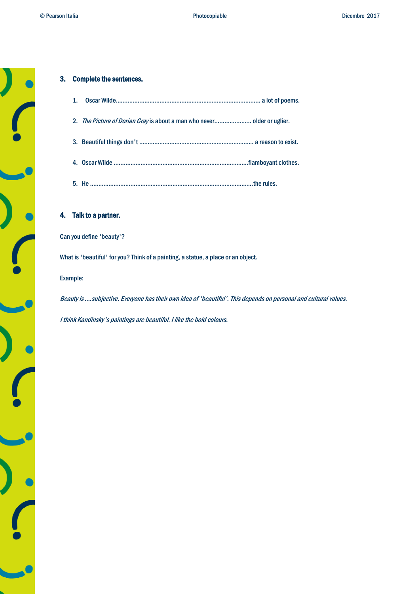#### 3. Complete the sentences.

| $\mathbf{1}$ . |  |
|----------------|--|
|                |  |
|                |  |
|                |  |
|                |  |

4. Talk to a partner.

Can you define 'beauty'?

What is 'beautiful' for you? Think of a painting, a statue, a place or an object.

Example:

Beauty is ….subjective. Everyone has their own idea of 'beautiful'. This depends on personal and cultural values.

I think Kandinsky's paintings are beautiful. I like the bold colours.